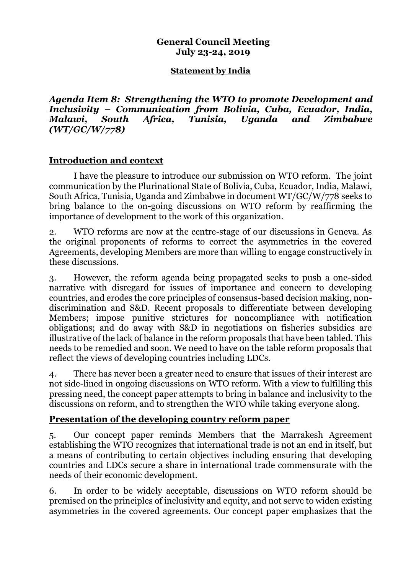### **General Council Meeting July 23-24, 2019**

#### **Statement by India**

*Agenda Item 8: Strengthening the WTO to promote Development and Inclusivity – Communication from Bolivia, Cuba, Ecuador, India, Malawi, South Africa, Tunisia, Uganda and Zimbabwe (WT/GC/W/778)*

#### **Introduction and context**

I have the pleasure to introduce our submission on WTO reform. The joint communication by the Plurinational State of Bolivia, Cuba, Ecuador, India, Malawi, South Africa, Tunisia, Uganda and Zimbabwe in document WT/GC/W/778 seeks to bring balance to the on-going discussions on WTO reform by reaffirming the importance of development to the work of this organization.

2. WTO reforms are now at the centre-stage of our discussions in Geneva. As the original proponents of reforms to correct the asymmetries in the covered Agreements, developing Members are more than willing to engage constructively in these discussions.

3. However, the reform agenda being propagated seeks to push a one-sided narrative with disregard for issues of importance and concern to developing countries, and erodes the core principles of consensus-based decision making, nondiscrimination and S&D. Recent proposals to differentiate between developing Members; impose punitive strictures for noncompliance with notification obligations; and do away with S&D in negotiations on fisheries subsidies are illustrative of the lack of balance in the reform proposals that have been tabled. This needs to be remedied and soon. We need to have on the table reform proposals that reflect the views of developing countries including LDCs.

4. There has never been a greater need to ensure that issues of their interest are not side-lined in ongoing discussions on WTO reform. With a view to fulfilling this pressing need, the concept paper attempts to bring in balance and inclusivity to the discussions on reform, and to strengthen the WTO while taking everyone along.

### **Presentation of the developing country reform paper**

5. Our concept paper reminds Members that the Marrakesh Agreement establishing the WTO recognizes that international trade is not an end in itself, but a means of contributing to certain objectives including ensuring that developing countries and LDCs secure a share in international trade commensurate with the needs of their economic development.

6. In order to be widely acceptable, discussions on WTO reform should be premised on the principles of inclusivity and equity, and not serve to widen existing asymmetries in the covered agreements. Our concept paper emphasizes that the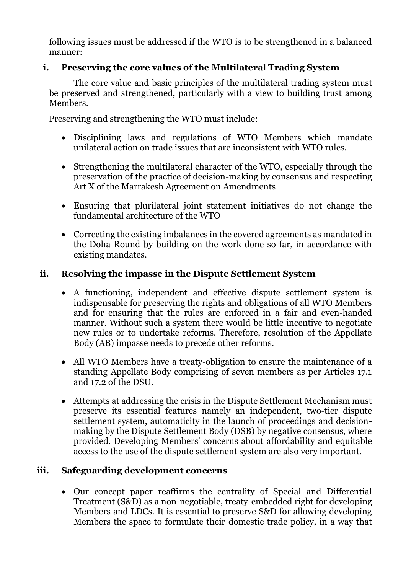following issues must be addressed if the WTO is to be strengthened in a balanced manner:

## **i. Preserving the core values of the Multilateral Trading System**

The core value and basic principles of the multilateral trading system must be preserved and strengthened, particularly with a view to building trust among Members.

Preserving and strengthening the WTO must include:

- Disciplining laws and regulations of WTO Members which mandate unilateral action on trade issues that are inconsistent with WTO rules.
- Strengthening the multilateral character of the WTO, especially through the preservation of the practice of decision-making by consensus and respecting Art X of the Marrakesh Agreement on Amendments
- Ensuring that plurilateral joint statement initiatives do not change the fundamental architecture of the WTO
- Correcting the existing imbalances in the covered agreements as mandated in the Doha Round by building on the work done so far, in accordance with existing mandates.

# **ii. Resolving the impasse in the Dispute Settlement System**

- A functioning, independent and effective dispute settlement system is indispensable for preserving the rights and obligations of all WTO Members and for ensuring that the rules are enforced in a fair and even-handed manner. Without such a system there would be little incentive to negotiate new rules or to undertake reforms. Therefore, resolution of the Appellate Body (AB) impasse needs to precede other reforms.
- All WTO Members have a treaty-obligation to ensure the maintenance of a standing Appellate Body comprising of seven members as per Articles 17.1 and 17.2 of the DSU.
- Attempts at addressing the crisis in the Dispute Settlement Mechanism must preserve its essential features namely an independent, two-tier dispute settlement system, automaticity in the launch of proceedings and decisionmaking by the Dispute Settlement Body (DSB) by negative consensus, where provided. Developing Members' concerns about affordability and equitable access to the use of the dispute settlement system are also very important.

### **iii. Safeguarding development concerns**

• Our concept paper reaffirms the centrality of Special and Differential Treatment (S&D) as a non-negotiable, treaty-embedded right for developing Members and LDCs. It is essential to preserve S&D for allowing developing Members the space to formulate their domestic trade policy, in a way that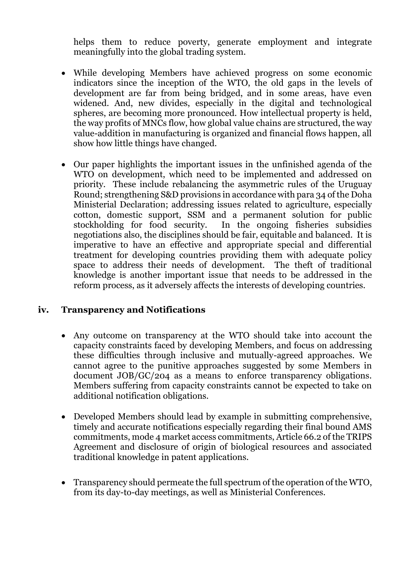helps them to reduce poverty, generate employment and integrate meaningfully into the global trading system.

- While developing Members have achieved progress on some economic indicators since the inception of the WTO, the old gaps in the levels of development are far from being bridged, and in some areas, have even widened. And, new divides, especially in the digital and technological spheres, are becoming more pronounced. How intellectual property is held, the way profits of MNCs flow, how global value chains are structured, the way value-addition in manufacturing is organized and financial flows happen, all show how little things have changed.
- Our paper highlights the important issues in the unfinished agenda of the WTO on development, which need to be implemented and addressed on priority. These include rebalancing the asymmetric rules of the Uruguay Round; strengthening S&D provisions in accordance with para 34 of the Doha Ministerial Declaration; addressing issues related to agriculture, especially cotton, domestic support, SSM and a permanent solution for public stockholding for food security. In the ongoing fisheries subsidies negotiations also, the disciplines should be fair, equitable and balanced. It is imperative to have an effective and appropriate special and differential treatment for developing countries providing them with adequate policy space to address their needs of development. The theft of traditional knowledge is another important issue that needs to be addressed in the reform process, as it adversely affects the interests of developing countries.

### **iv. Transparency and Notifications**

- Any outcome on transparency at the WTO should take into account the capacity constraints faced by developing Members, and focus on addressing these difficulties through inclusive and mutually-agreed approaches. We cannot agree to the punitive approaches suggested by some Members in document JOB/GC/204 as a means to enforce transparency obligations. Members suffering from capacity constraints cannot be expected to take on additional notification obligations.
- Developed Members should lead by example in submitting comprehensive, timely and accurate notifications especially regarding their final bound AMS commitments, mode 4 market access commitments, Article 66.2 of the TRIPS Agreement and disclosure of origin of biological resources and associated traditional knowledge in patent applications.
- Transparency should permeate the full spectrum of the operation of the WTO, from its day-to-day meetings, as well as Ministerial Conferences.